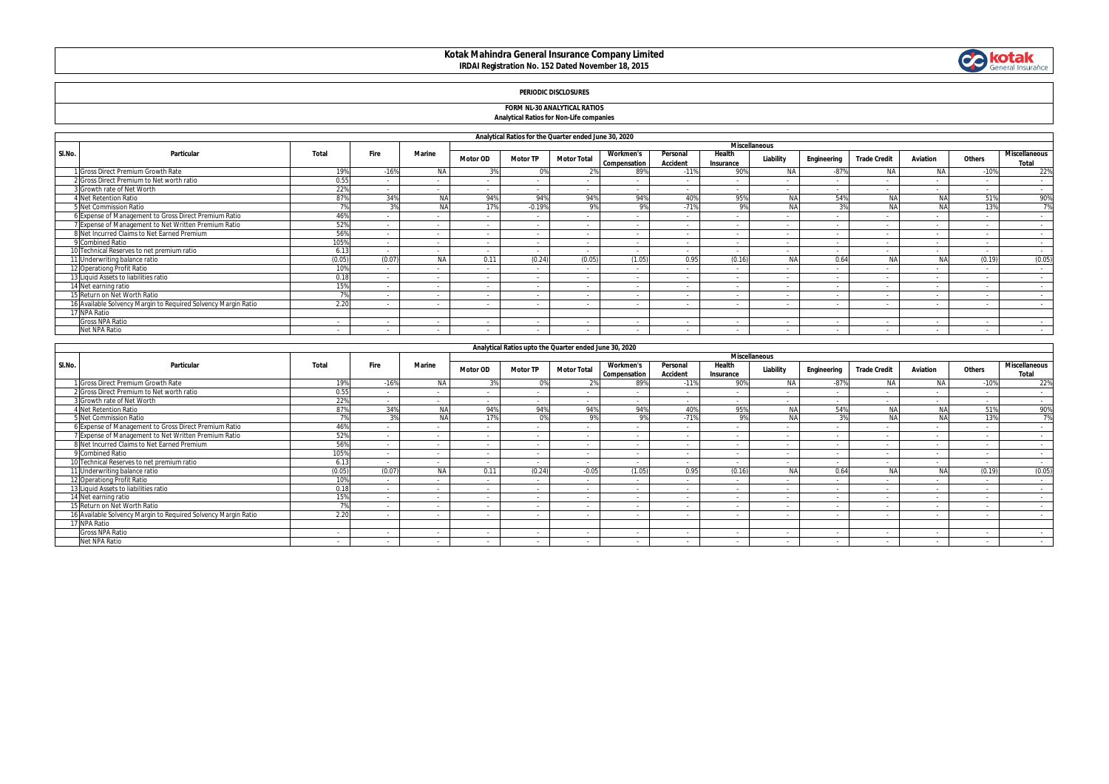### **Kotak Mahindra General Insurance Company Limited IRDAI Registration No. 152 Dated November 18, 2015**



### **PERIODIC DISCLOSURES**

#### **FORM NL-30 ANALYTICAL RATIOS Analytical Ratios for Non-Life companies**

|        | Analytical Ratios for the Quarter ended June 30, 2020          |        |             |               |                 |                 |                    |                                  |                             |                     |                          |                          |                          |                          |        |                               |
|--------|----------------------------------------------------------------|--------|-------------|---------------|-----------------|-----------------|--------------------|----------------------------------|-----------------------------|---------------------|--------------------------|--------------------------|--------------------------|--------------------------|--------|-------------------------------|
|        | Particular                                                     |        |             |               |                 |                 |                    |                                  |                             |                     | <b>Miscellaneous</b>     |                          |                          |                          |        |                               |
| SI.No. |                                                                | Total  | <b>Fire</b> | <b>Marine</b> | <b>Motor OD</b> | <b>Motor TP</b> | <b>Motor Total</b> | <b>Workmen's</b><br>Compensation | Personal<br><b>Accident</b> | Health<br>Insurance | Liability                | Engineering              | <b>Trade Credit</b>      | Aviation                 | Others | <b>Miscellaneous</b><br>Total |
|        | 1 Gross Direct Premium Growth Rate                             | 19%    | $-16%$      | <b>NA</b>     |                 | $^{\circ}$      | 2%                 | 89%                              | $-119$                      | 90%                 | <b>NA</b>                | $-87%$                   | <b>NA</b>                | <b>NA</b>                | $-10%$ | 22%                           |
|        | 2 Gross Direct Premium to Net worth ratio                      | 0.55   |             |               | $\sim$          |                 |                    |                                  | $\sim$                      |                     |                          | $\sim$                   | $\overline{\phantom{a}}$ |                          |        | $\sim$                        |
|        | 3 Growth rate of Net Worth                                     | 22%    |             |               | $\sim$          | $\sim$          | . .                |                                  | $\sim$                      |                     | $\sim$                   | $\sim$                   | $\sim$                   | $\overline{\phantom{a}}$ |        | $\sim$                        |
|        | <b>Net Retention Ratio</b>                                     | 87%    | 34%         | <b>NA</b>     | 94%             | 94%             | 94%                | 94%                              | 40%                         | 95%                 | <b>NA</b>                | 54%                      | <b>NA</b>                | NA                       | 51%    | 90%                           |
|        | 5 Net Commission Ratio                                         |        |             |               | 17%             | $-0.19%$        | 9%                 | $Q\%$                            | $-71°$                      | O <sub>0</sub>      |                          |                          |                          | <b>AIA</b>               | 13%    | 7%                            |
|        | 6 Expense of Management to Gross Direct Premium Ratio          | 46%    |             |               | $\sim$          | $\sim$          |                    |                                  | $\sim$                      |                     | $\overline{\phantom{a}}$ |                          | $\sim$                   |                          |        | $\sim$                        |
|        | 7 Expense of Management to Net Written Premium Ratio           | 52%    |             |               | $\sim$          | $\sim$          |                    |                                  | $\overline{\phantom{a}}$    |                     |                          | <b>.</b>                 | $\sim$                   | $\overline{\phantom{a}}$ |        | $\sim$                        |
|        | 8 Net Incurred Claims to Net Earned Premium                    | 56%    |             |               | $\sim$          |                 |                    |                                  |                             |                     |                          |                          | $\sim$                   |                          |        | $\sim$                        |
|        | 9 Combined Ratio                                               | 105%   |             |               | $\sim$          |                 |                    |                                  |                             |                     |                          | $\sim$                   | $\overline{\phantom{a}}$ |                          |        | $\sim$                        |
|        | 10 Technical Reserves to net premium ratio                     | 6.13   |             |               | $\sim$          | $\sim$          |                    |                                  |                             |                     |                          |                          | $\sim$                   |                          |        | $\sim$                        |
|        | 11 Underwriting balance ratio                                  | (0.05) | (0.07)      | <b>NA</b>     | 0.11            | (0.24)          | (0.05)             | (1.05)                           | 0.95                        | (0.16)              | <b>NIA</b>               | 0.64                     | <b>AIA</b>               | NA                       | (0.19) | (0.05)                        |
|        | 12 Operationg Profit Ratio                                     | 10%    |             |               | $\sim$          |                 |                    |                                  | $\overline{\phantom{a}}$    |                     |                          |                          | $\sim$                   |                          |        | $\sim$                        |
|        | 13 Liquid Assets to liabilities ratio                          | 0.18   |             | $\sim$        | $\sim$          | $\sim$          | ۰.                 | $\sim$                           | $\sim$                      |                     | $\sim$                   | $\overline{\phantom{a}}$ | $\sim$                   | $\overline{\phantom{a}}$ |        | $\sim$                        |
|        | 14 Net earning ratio                                           | 15%    |             |               | $\sim$          |                 |                    |                                  |                             |                     |                          |                          | $\sim$                   |                          |        |                               |
|        | 15 Return on Net Worth Ratio                                   | 701    |             | $\sim$        | $\sim$          | $\sim$          | . .                | $\sim$                           | $\sim$                      |                     | $\sim$                   | $\sim$                   | $\sim$                   | $\sim$                   |        | $\sim$                        |
|        | 16 Available Solvency Margin to Reguired Solvency Margin Ratio | 2.20   |             | $\sim$        | $\sim$          | $\sim$          | $\overline{a}$     | $\sim$                           | $\sim$                      |                     | $\overline{\phantom{a}}$ | $\sim$                   | $\sim$                   | $\sim$                   |        | $\sim$                        |
|        | 17 NPA Ratio                                                   |        |             |               |                 |                 |                    |                                  |                             |                     |                          |                          |                          |                          |        |                               |
|        | <b>Gross NPA Ratio</b>                                         |        |             |               |                 |                 |                    |                                  |                             |                     |                          |                          |                          |                          |        |                               |
|        | Net NPA Ratio                                                  |        |             |               | $\sim$          | $\sim$          |                    | $\sim$                           | $\sim$                      |                     |                          |                          | $\sim$                   | $\sim$                   |        | $\sim$                        |

|        | Analytical Ratios upto the Quarter ended June 30, 2020         |        |        |               |                      |                 |                          |                                  |                             |                          |            |             |                     |           |        |                          |
|--------|----------------------------------------------------------------|--------|--------|---------------|----------------------|-----------------|--------------------------|----------------------------------|-----------------------------|--------------------------|------------|-------------|---------------------|-----------|--------|--------------------------|
|        | Particular                                                     |        |        |               | <b>Miscellaneous</b> |                 |                          |                                  |                             |                          |            |             |                     |           |        |                          |
| SI.No. |                                                                | Total  | Fire   | <b>Marine</b> | <b>Motor OD</b>      | <b>Motor TP</b> | <b>Motor Total</b>       | <b>Workmen's</b><br>Compensation | Personal<br><b>Accident</b> | Health<br>Insurance      | Liability  | Engineering | <b>Trade Credit</b> | Aviation  | Others | Miscellaneous<br>Total   |
|        | 1 Gross Direct Premium Growth Rate                             | 19%    | $-16%$ | <b>NA</b>     | 3%                   | 0%              | 20                       | 89%                              | $-119$                      | 90%                      | NA         | $-87%$      | <b>NA</b>           | <b>NA</b> | $-10%$ | 22%                      |
|        | 2 Gross Direct Premium to Net worth ratio                      | 0.55   |        |               | $\overline{a}$       | $\sim$          | $\overline{\phantom{a}}$ |                                  | $\sim$                      | $\overline{a}$           |            |             |                     |           |        | <b>Contract Contract</b> |
|        | 3 Growth rate of Net Worth                                     | 229    | $\sim$ |               | $\sim$               | $\sim$          | $\sim$                   |                                  | $\sim$                      | $\sim$                   | $\sim$     | $\sim$      | $\sim$              | $\sim$    | $\sim$ | <b>Service</b>           |
|        | <b>Net Retention Ratio</b>                                     | 87%    | 34%    | <b>NA</b>     | 94%                  | 94%             | 94%                      | 94%                              | 40%                         | 95%                      | NA         | 54%         | NA                  | NA        | 51%    | 90%                      |
|        | 5 Net Commission Ratio                                         | 70     | 20/    | <b>NA</b>     | 17%                  | 0%              | Q <sub>0</sub>           | 9%                               | $-71%$                      | 9%                       | <b>NA</b>  | 20/         | <b>NA</b>           | <b>NA</b> | 13%    | 7%                       |
|        | 6 Expense of Management to Gross Direct Premium Ratio          | 46%    |        |               | $\sim$               | $\sim$          | $\sim$                   |                                  | $\sim$                      |                          |            |             | $\sim$              |           |        | $\sim$                   |
|        | 7 Expense of Management to Net Written Premium Ratio           | 529    |        |               | $\sim$               | $\sim$          | $\sim$                   |                                  | $\sim$                      |                          |            | $\sim$      | $\sim$              |           |        | $\sim$                   |
|        | 8 Net Incurred Claims to Net Earned Premium                    | 56%    |        |               | . .                  |                 |                          |                                  |                             |                          |            |             |                     |           |        |                          |
|        | 9 Combined Ratio                                               | 105%   | $\sim$ |               | $\overline{a}$       | $\sim$          | $\sim$                   | $\overline{\phantom{a}}$         | $\sim$                      | $\sim$                   | $\sim$     | $\sim$      | $\sim$              |           | $\sim$ | $\sim$                   |
|        | 10 Technical Reserves to net premium ratio                     | 6.13   |        |               | . п.                 | $\sim$          | $\sim$                   |                                  | $\sim$                      |                          |            |             |                     |           |        |                          |
|        | 11 Underwriting balance ratio                                  | (0.05) | (0.07) | <b>NA</b>     | 0.11                 | (0.24)          | $-0.05$                  | (1.05)                           | 0.95                        | (0.16)                   | <b>AIA</b> | 0.6         | <b>AIA</b>          | NA        | (0.19) | (0.05)                   |
|        | 12 Operationg Profit Ratio                                     | 10%    | $\sim$ |               | $\sim$               | $\sim$          | $\sim$                   |                                  | $\sim$                      | $\sim$                   |            |             | $\sim$              |           |        | $\sim$                   |
|        | 13 Liquid Assets to liabilities ratio                          | 0.18   |        |               |                      |                 | $\sim$                   |                                  | $\sim$                      | $\sim$                   |            |             | $\sim$              |           | $\sim$ | $\sim$                   |
|        | 14 Net earning ratio                                           | 15%    |        |               | $\sim$               | $\sim$          | $\sim$                   |                                  | $\sim$                      |                          |            |             |                     |           | $\sim$ | $\sim$                   |
|        | 15 Return on Net Worth Ratio                                   |        | $\sim$ |               | $\sim$               |                 | $\overline{\phantom{a}}$ |                                  | $\sim$                      | $\sim$                   | $\sim$     | $\sim$      | $\sim$              |           | $\sim$ | $\sim$                   |
|        | 16 Available Solvency Margin to Reguired Solvency Margin Ratio | 2.20   |        |               |                      |                 | $\sim$                   |                                  |                             |                          |            |             |                     |           |        | $\sim$                   |
|        | 17 NPA Ratio                                                   |        |        |               |                      |                 |                          |                                  |                             |                          |            |             |                     |           |        |                          |
|        | <b>Gross NPA Ratio</b>                                         | $\sim$ | $\sim$ | $\sim$        | $\sim$               | $\sim$          | $\sim$                   | $\overline{\phantom{a}}$         | $\sim$                      | $\overline{\phantom{a}}$ | $\sim$     | $\sim$      | $\sim$              |           | $\sim$ | $\sim$                   |
|        | Net NPA Ratio                                                  | $\sim$ |        |               |                      |                 |                          |                                  |                             |                          |            |             |                     |           |        | $\sim$                   |